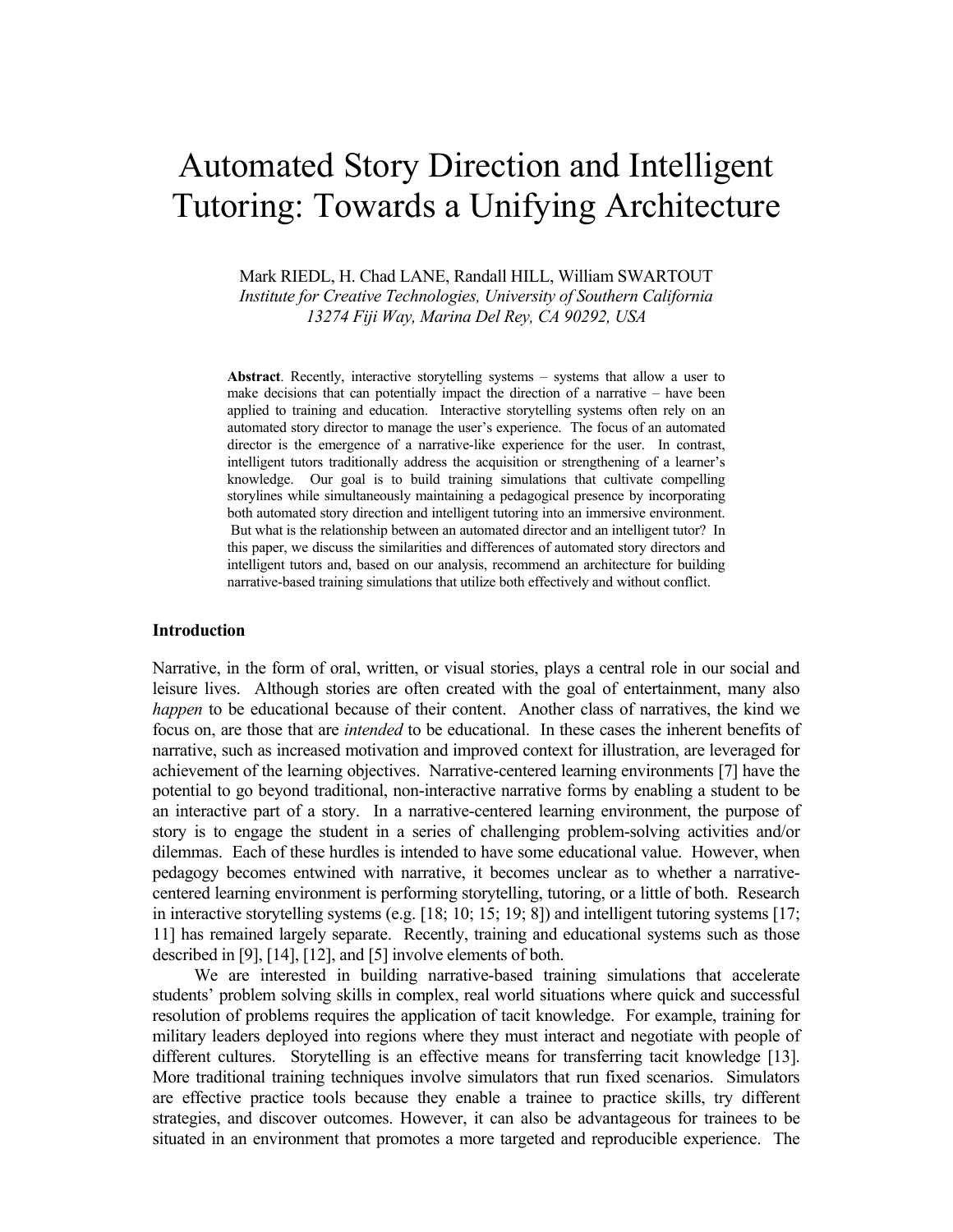# Automated Story Direction and Intelligent Tutoring: Towards a Unifying Architecture

Mark RIEDL, H. Chad LANE, Randall HILL, William SWARTOUT *Institute for Creative Technologies, University of Southern California 13274 Fiji Way, Marina Del Rey, CA 90292, USA* 

**Abstract**. Recently, interactive storytelling systems – systems that allow a user to make decisions that can potentially impact the direction of a narrative – have been applied to training and education. Interactive storytelling systems often rely on an automated story director to manage the user's experience. The focus of an automated director is the emergence of a narrative-like experience for the user. In contrast, intelligent tutors traditionally address the acquisition or strengthening of a learner's knowledge. Our goal is to build training simulations that cultivate compelling storylines while simultaneously maintaining a pedagogical presence by incorporating both automated story direction and intelligent tutoring into an immersive environment. But what is the relationship between an automated director and an intelligent tutor? In this paper, we discuss the similarities and differences of automated story directors and intelligent tutors and, based on our analysis, recommend an architecture for building narrative-based training simulations that utilize both effectively and without conflict.

#### **Introduction**

Narrative, in the form of oral, written, or visual stories, plays a central role in our social and leisure lives. Although stories are often created with the goal of entertainment, many also *happen* to be educational because of their content. Another class of narratives, the kind we focus on, are those that are *intended* to be educational. In these cases the inherent benefits of narrative, such as increased motivation and improved context for illustration, are leveraged for achievement of the learning objectives. Narrative-centered learning environments [7] have the potential to go beyond traditional, non-interactive narrative forms by enabling a student to be an interactive part of a story. In a narrative-centered learning environment, the purpose of story is to engage the student in a series of challenging problem-solving activities and/or dilemmas. Each of these hurdles is intended to have some educational value. However, when pedagogy becomes entwined with narrative, it becomes unclear as to whether a narrativecentered learning environment is performing storytelling, tutoring, or a little of both. Research in interactive storytelling systems (e.g. [18; 10; 15; 19; 8]) and intelligent tutoring systems [17; 11] has remained largely separate. Recently, training and educational systems such as those described in [9], [14], [12], and [5] involve elements of both.

 We are interested in building narrative-based training simulations that accelerate students' problem solving skills in complex, real world situations where quick and successful resolution of problems requires the application of tacit knowledge. For example, training for military leaders deployed into regions where they must interact and negotiate with people of different cultures. Storytelling is an effective means for transferring tacit knowledge [13]. More traditional training techniques involve simulators that run fixed scenarios. Simulators are effective practice tools because they enable a trainee to practice skills, try different strategies, and discover outcomes. However, it can also be advantageous for trainees to be situated in an environment that promotes a more targeted and reproducible experience. The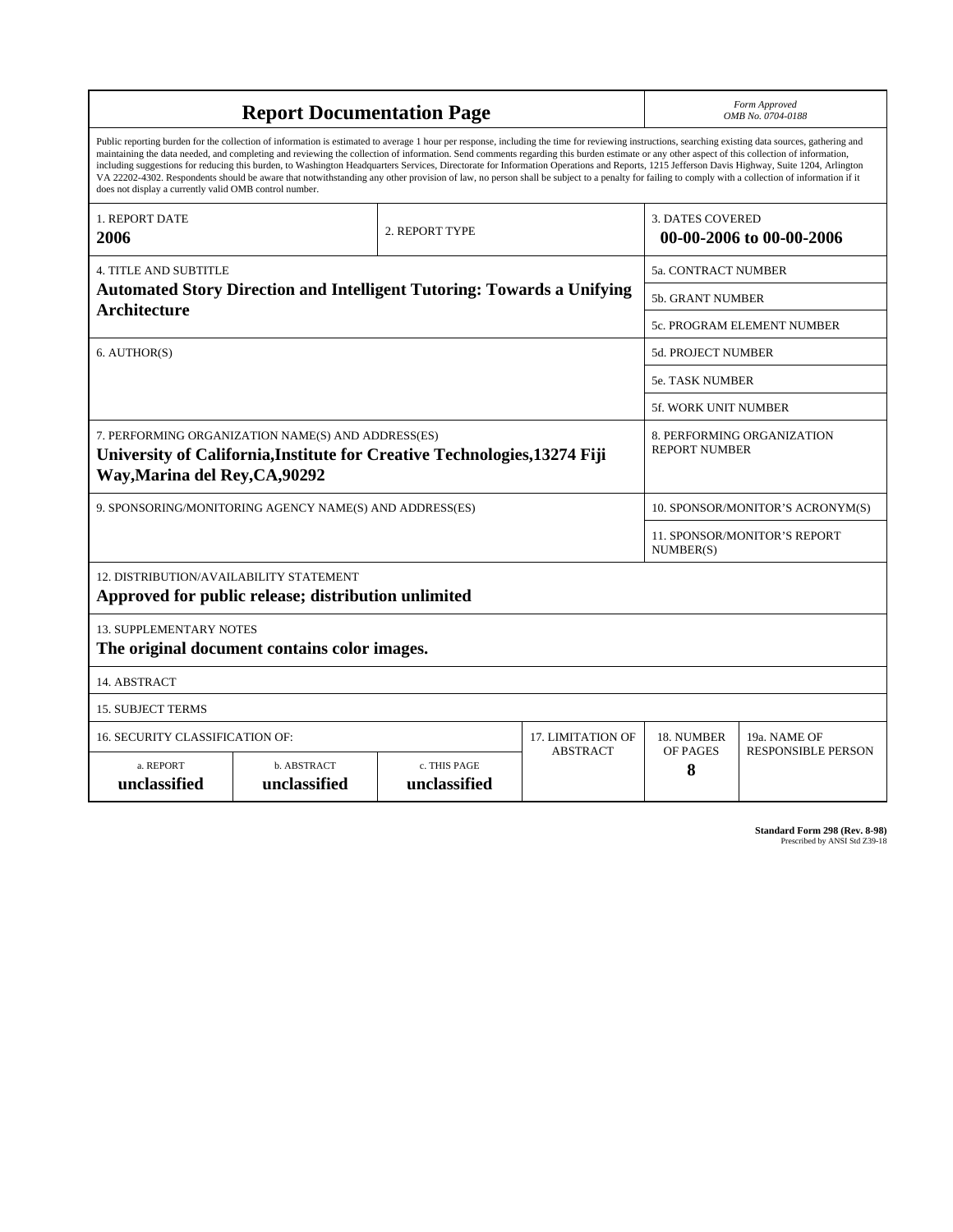| <b>Report Documentation Page</b>                                                                                                                                                                                                                                                                                                                                                                                                                                                                                                                                                                                                                                                                                                                                                                                                                                   |                             |                              |                 |                                                     | Form Approved<br>OMB No. 0704-0188                 |  |  |
|--------------------------------------------------------------------------------------------------------------------------------------------------------------------------------------------------------------------------------------------------------------------------------------------------------------------------------------------------------------------------------------------------------------------------------------------------------------------------------------------------------------------------------------------------------------------------------------------------------------------------------------------------------------------------------------------------------------------------------------------------------------------------------------------------------------------------------------------------------------------|-----------------------------|------------------------------|-----------------|-----------------------------------------------------|----------------------------------------------------|--|--|
| Public reporting burden for the collection of information is estimated to average 1 hour per response, including the time for reviewing instructions, searching existing data sources, gathering and<br>maintaining the data needed, and completing and reviewing the collection of information. Send comments regarding this burden estimate or any other aspect of this collection of information,<br>including suggestions for reducing this burden, to Washington Headquarters Services, Directorate for Information Operations and Reports, 1215 Jefferson Davis Highway, Suite 1204, Arlington<br>VA 22202-4302. Respondents should be aware that notwithstanding any other provision of law, no person shall be subject to a penalty for failing to comply with a collection of information if it<br>does not display a currently valid OMB control number. |                             |                              |                 |                                                     |                                                    |  |  |
| <b>1. REPORT DATE</b><br>2006                                                                                                                                                                                                                                                                                                                                                                                                                                                                                                                                                                                                                                                                                                                                                                                                                                      |                             | 2. REPORT TYPE               |                 | <b>3. DATES COVERED</b><br>00-00-2006 to 00-00-2006 |                                                    |  |  |
| <b>4. TITLE AND SUBTITLE</b>                                                                                                                                                                                                                                                                                                                                                                                                                                                                                                                                                                                                                                                                                                                                                                                                                                       |                             |                              |                 |                                                     | 5a. CONTRACT NUMBER                                |  |  |
| <b>Automated Story Direction and Intelligent Tutoring: Towards a Unifying</b><br><b>Architecture</b>                                                                                                                                                                                                                                                                                                                                                                                                                                                                                                                                                                                                                                                                                                                                                               |                             |                              |                 |                                                     | <b>5b. GRANT NUMBER</b>                            |  |  |
|                                                                                                                                                                                                                                                                                                                                                                                                                                                                                                                                                                                                                                                                                                                                                                                                                                                                    |                             |                              |                 |                                                     | 5c. PROGRAM ELEMENT NUMBER                         |  |  |
| 6. AUTHOR(S)                                                                                                                                                                                                                                                                                                                                                                                                                                                                                                                                                                                                                                                                                                                                                                                                                                                       |                             |                              |                 |                                                     | <b>5d. PROJECT NUMBER</b>                          |  |  |
|                                                                                                                                                                                                                                                                                                                                                                                                                                                                                                                                                                                                                                                                                                                                                                                                                                                                    |                             |                              |                 |                                                     | <b>5e. TASK NUMBER</b>                             |  |  |
|                                                                                                                                                                                                                                                                                                                                                                                                                                                                                                                                                                                                                                                                                                                                                                                                                                                                    | 5f. WORK UNIT NUMBER        |                              |                 |                                                     |                                                    |  |  |
| 7. PERFORMING ORGANIZATION NAME(S) AND ADDRESS(ES)<br>University of California, Institute for Creative Technologies, 13274 Fiji<br>Way, Marina del Rey, CA, 90292                                                                                                                                                                                                                                                                                                                                                                                                                                                                                                                                                                                                                                                                                                  |                             |                              |                 |                                                     | 8. PERFORMING ORGANIZATION<br><b>REPORT NUMBER</b> |  |  |
| 9. SPONSORING/MONITORING AGENCY NAME(S) AND ADDRESS(ES)                                                                                                                                                                                                                                                                                                                                                                                                                                                                                                                                                                                                                                                                                                                                                                                                            |                             |                              |                 |                                                     | 10. SPONSOR/MONITOR'S ACRONYM(S)                   |  |  |
|                                                                                                                                                                                                                                                                                                                                                                                                                                                                                                                                                                                                                                                                                                                                                                                                                                                                    |                             |                              |                 |                                                     | <b>11. SPONSOR/MONITOR'S REPORT</b><br>NUMBER(S)   |  |  |
| 12. DISTRIBUTION/AVAILABILITY STATEMENT<br>Approved for public release; distribution unlimited                                                                                                                                                                                                                                                                                                                                                                                                                                                                                                                                                                                                                                                                                                                                                                     |                             |                              |                 |                                                     |                                                    |  |  |
| <b>13. SUPPLEMENTARY NOTES</b><br>The original document contains color images.                                                                                                                                                                                                                                                                                                                                                                                                                                                                                                                                                                                                                                                                                                                                                                                     |                             |                              |                 |                                                     |                                                    |  |  |
| 14. ABSTRACT                                                                                                                                                                                                                                                                                                                                                                                                                                                                                                                                                                                                                                                                                                                                                                                                                                                       |                             |                              |                 |                                                     |                                                    |  |  |
| <b>15. SUBJECT TERMS</b>                                                                                                                                                                                                                                                                                                                                                                                                                                                                                                                                                                                                                                                                                                                                                                                                                                           |                             |                              |                 |                                                     |                                                    |  |  |
| 16. SECURITY CLASSIFICATION OF:                                                                                                                                                                                                                                                                                                                                                                                                                                                                                                                                                                                                                                                                                                                                                                                                                                    |                             | 17. LIMITATION OF            | 18. NUMBER      | 19a. NAME OF                                        |                                                    |  |  |
| a. REPORT<br>unclassified                                                                                                                                                                                                                                                                                                                                                                                                                                                                                                                                                                                                                                                                                                                                                                                                                                          | b. ABSTRACT<br>unclassified | c. THIS PAGE<br>unclassified | <b>ABSTRACT</b> | OF PAGES<br>8                                       | <b>RESPONSIBLE PERSON</b>                          |  |  |

| <b>Standard Form 298 (Rev. 8-98)</b> |                               |  |  |
|--------------------------------------|-------------------------------|--|--|
|                                      | Prescribed by ANSI Std Z39-18 |  |  |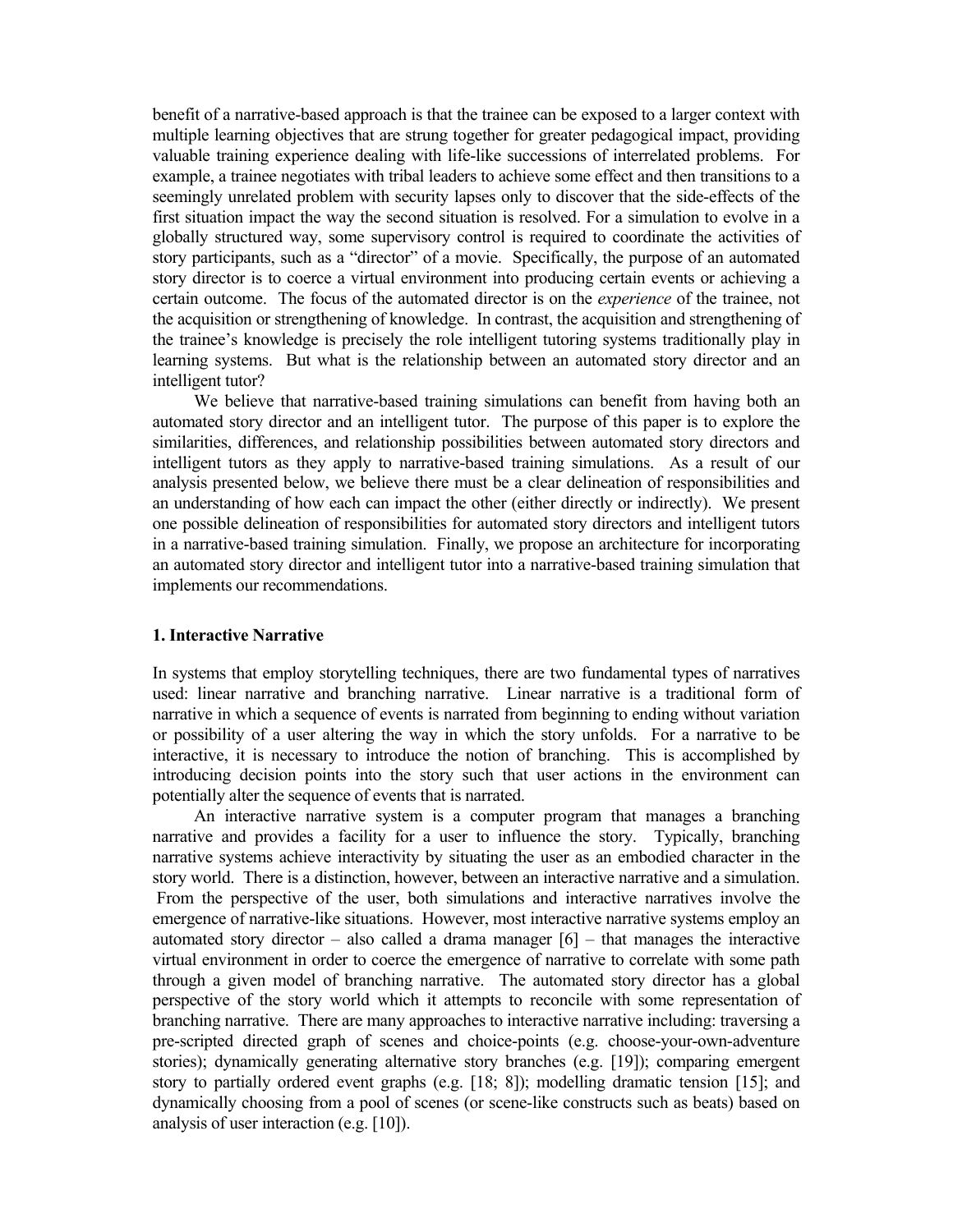benefit of a narrative-based approach is that the trainee can be exposed to a larger context with multiple learning objectives that are strung together for greater pedagogical impact, providing valuable training experience dealing with life-like successions of interrelated problems. For example, a trainee negotiates with tribal leaders to achieve some effect and then transitions to a seemingly unrelated problem with security lapses only to discover that the side-effects of the first situation impact the way the second situation is resolved. For a simulation to evolve in a globally structured way, some supervisory control is required to coordinate the activities of story participants, such as a "director" of a movie. Specifically, the purpose of an automated story director is to coerce a virtual environment into producing certain events or achieving a certain outcome. The focus of the automated director is on the *experience* of the trainee, not the acquisition or strengthening of knowledge. In contrast, the acquisition and strengthening of the trainee's knowledge is precisely the role intelligent tutoring systems traditionally play in learning systems. But what is the relationship between an automated story director and an intelligent tutor?

 We believe that narrative-based training simulations can benefit from having both an automated story director and an intelligent tutor. The purpose of this paper is to explore the similarities, differences, and relationship possibilities between automated story directors and intelligent tutors as they apply to narrative-based training simulations. As a result of our analysis presented below, we believe there must be a clear delineation of responsibilities and an understanding of how each can impact the other (either directly or indirectly). We present one possible delineation of responsibilities for automated story directors and intelligent tutors in a narrative-based training simulation. Finally, we propose an architecture for incorporating an automated story director and intelligent tutor into a narrative-based training simulation that implements our recommendations.

## **1. Interactive Narrative**

In systems that employ storytelling techniques, there are two fundamental types of narratives used: linear narrative and branching narrative. Linear narrative is a traditional form of narrative in which a sequence of events is narrated from beginning to ending without variation or possibility of a user altering the way in which the story unfolds. For a narrative to be interactive, it is necessary to introduce the notion of branching. This is accomplished by introducing decision points into the story such that user actions in the environment can potentially alter the sequence of events that is narrated.

 An interactive narrative system is a computer program that manages a branching narrative and provides a facility for a user to influence the story. Typically, branching narrative systems achieve interactivity by situating the user as an embodied character in the story world. There is a distinction, however, between an interactive narrative and a simulation. From the perspective of the user, both simulations and interactive narratives involve the emergence of narrative-like situations. However, most interactive narrative systems employ an automated story director – also called a drama manager  $[6]$  – that manages the interactive virtual environment in order to coerce the emergence of narrative to correlate with some path through a given model of branching narrative. The automated story director has a global perspective of the story world which it attempts to reconcile with some representation of branching narrative. There are many approaches to interactive narrative including: traversing a pre-scripted directed graph of scenes and choice-points (e.g. choose-your-own-adventure stories); dynamically generating alternative story branches (e.g. [19]); comparing emergent story to partially ordered event graphs (e.g. [18; 8]); modelling dramatic tension [15]; and dynamically choosing from a pool of scenes (or scene-like constructs such as beats) based on analysis of user interaction (e.g. [10]).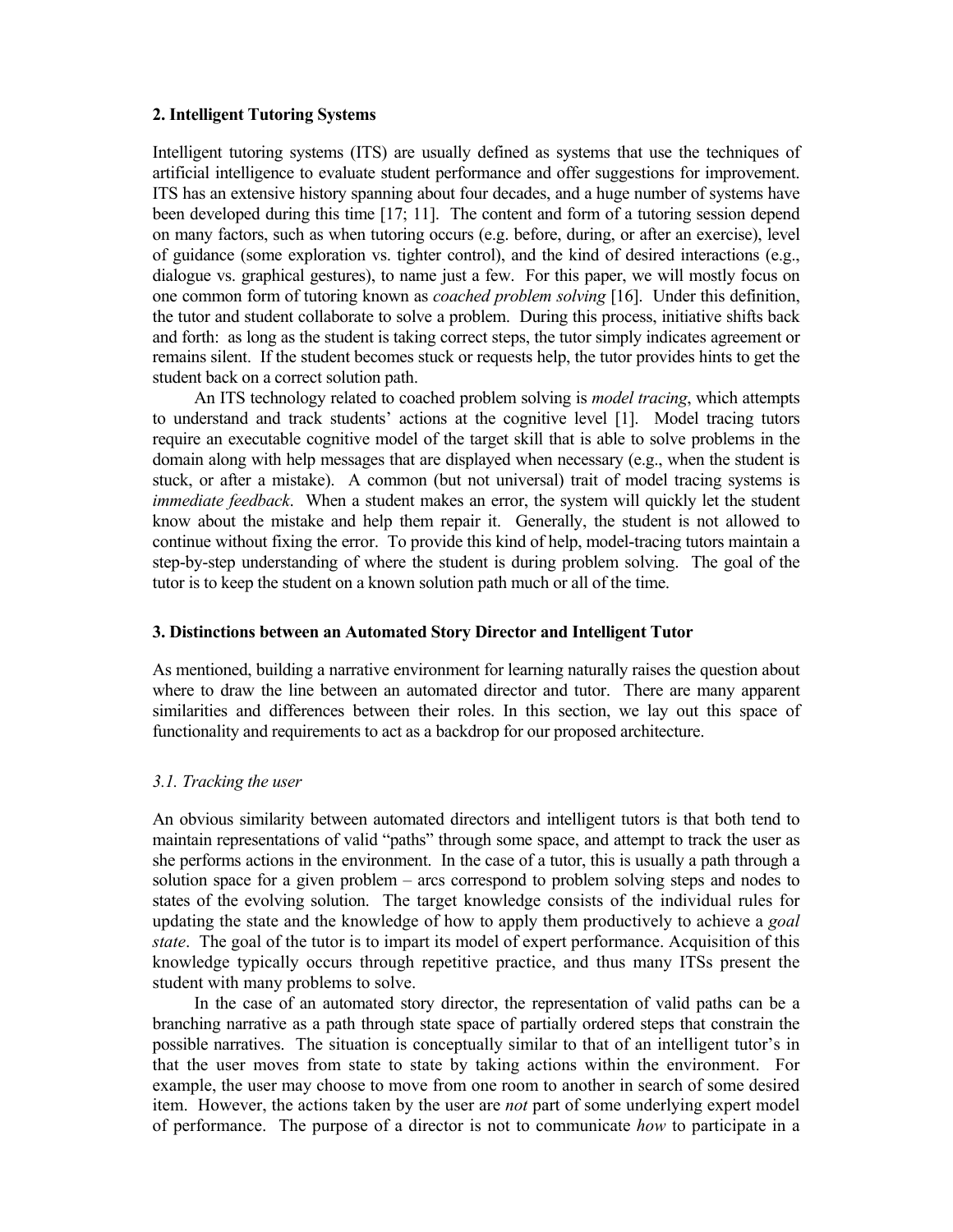## **2. Intelligent Tutoring Systems**

Intelligent tutoring systems (ITS) are usually defined as systems that use the techniques of artificial intelligence to evaluate student performance and offer suggestions for improvement. ITS has an extensive history spanning about four decades, and a huge number of systems have been developed during this time [17; 11]. The content and form of a tutoring session depend on many factors, such as when tutoring occurs (e.g. before, during, or after an exercise), level of guidance (some exploration vs. tighter control), and the kind of desired interactions (e.g., dialogue vs. graphical gestures), to name just a few. For this paper, we will mostly focus on one common form of tutoring known as *coached problem solving* [16]. Under this definition, the tutor and student collaborate to solve a problem. During this process, initiative shifts back and forth: as long as the student is taking correct steps, the tutor simply indicates agreement or remains silent. If the student becomes stuck or requests help, the tutor provides hints to get the student back on a correct solution path.

 An ITS technology related to coached problem solving is *model tracing*, which attempts to understand and track students' actions at the cognitive level [1]. Model tracing tutors require an executable cognitive model of the target skill that is able to solve problems in the domain along with help messages that are displayed when necessary (e.g., when the student is stuck, or after a mistake). A common (but not universal) trait of model tracing systems is *immediate feedback*. When a student makes an error, the system will quickly let the student know about the mistake and help them repair it. Generally, the student is not allowed to continue without fixing the error. To provide this kind of help, model-tracing tutors maintain a step-by-step understanding of where the student is during problem solving. The goal of the tutor is to keep the student on a known solution path much or all of the time.

## **3. Distinctions between an Automated Story Director and Intelligent Tutor**

As mentioned, building a narrative environment for learning naturally raises the question about where to draw the line between an automated director and tutor. There are many apparent similarities and differences between their roles. In this section, we lay out this space of functionality and requirements to act as a backdrop for our proposed architecture.

## *3.1. Tracking the user*

An obvious similarity between automated directors and intelligent tutors is that both tend to maintain representations of valid "paths" through some space, and attempt to track the user as she performs actions in the environment. In the case of a tutor, this is usually a path through a solution space for a given problem – arcs correspond to problem solving steps and nodes to states of the evolving solution. The target knowledge consists of the individual rules for updating the state and the knowledge of how to apply them productively to achieve a *goal state*. The goal of the tutor is to impart its model of expert performance. Acquisition of this knowledge typically occurs through repetitive practice, and thus many ITSs present the student with many problems to solve.

 In the case of an automated story director, the representation of valid paths can be a branching narrative as a path through state space of partially ordered steps that constrain the possible narratives. The situation is conceptually similar to that of an intelligent tutor's in that the user moves from state to state by taking actions within the environment. For example, the user may choose to move from one room to another in search of some desired item. However, the actions taken by the user are *not* part of some underlying expert model of performance. The purpose of a director is not to communicate *how* to participate in a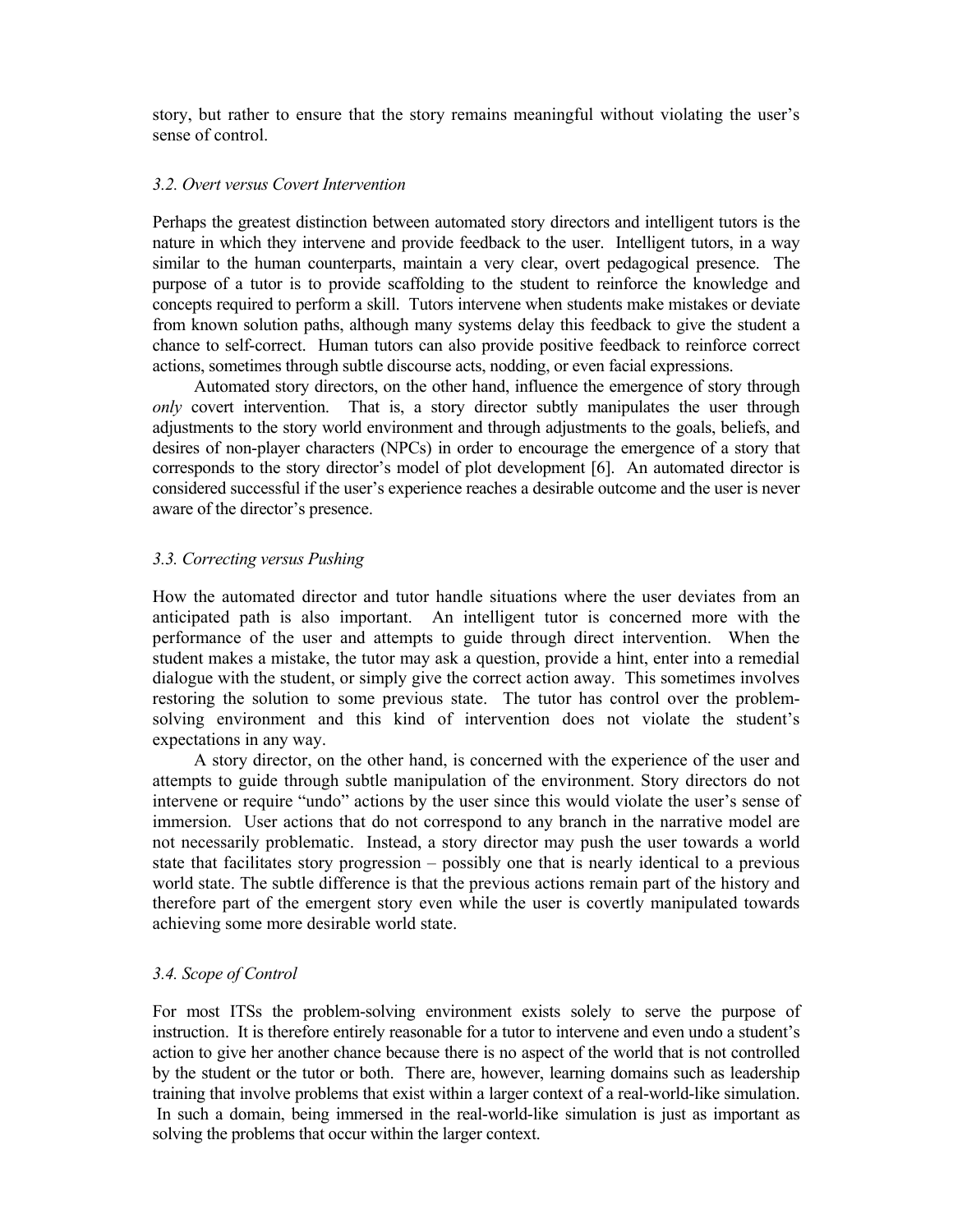story, but rather to ensure that the story remains meaningful without violating the user's sense of control.

## *3.2. Overt versus Covert Intervention*

Perhaps the greatest distinction between automated story directors and intelligent tutors is the nature in which they intervene and provide feedback to the user. Intelligent tutors, in a way similar to the human counterparts, maintain a very clear, overt pedagogical presence. The purpose of a tutor is to provide scaffolding to the student to reinforce the knowledge and concepts required to perform a skill. Tutors intervene when students make mistakes or deviate from known solution paths, although many systems delay this feedback to give the student a chance to self-correct. Human tutors can also provide positive feedback to reinforce correct actions, sometimes through subtle discourse acts, nodding, or even facial expressions.

 Automated story directors, on the other hand, influence the emergence of story through *only* covert intervention. That is, a story director subtly manipulates the user through adjustments to the story world environment and through adjustments to the goals, beliefs, and desires of non-player characters (NPCs) in order to encourage the emergence of a story that corresponds to the story director's model of plot development [6]. An automated director is considered successful if the user's experience reaches a desirable outcome and the user is never aware of the director's presence.

# *3.3. Correcting versus Pushing*

How the automated director and tutor handle situations where the user deviates from an anticipated path is also important. An intelligent tutor is concerned more with the performance of the user and attempts to guide through direct intervention. When the student makes a mistake, the tutor may ask a question, provide a hint, enter into a remedial dialogue with the student, or simply give the correct action away. This sometimes involves restoring the solution to some previous state. The tutor has control over the problemsolving environment and this kind of intervention does not violate the student's expectations in any way.

 A story director, on the other hand, is concerned with the experience of the user and attempts to guide through subtle manipulation of the environment. Story directors do not intervene or require "undo" actions by the user since this would violate the user's sense of immersion. User actions that do not correspond to any branch in the narrative model are not necessarily problematic. Instead, a story director may push the user towards a world state that facilitates story progression – possibly one that is nearly identical to a previous world state. The subtle difference is that the previous actions remain part of the history and therefore part of the emergent story even while the user is covertly manipulated towards achieving some more desirable world state.

## *3.4. Scope of Control*

For most ITSs the problem-solving environment exists solely to serve the purpose of instruction. It is therefore entirely reasonable for a tutor to intervene and even undo a student's action to give her another chance because there is no aspect of the world that is not controlled by the student or the tutor or both. There are, however, learning domains such as leadership training that involve problems that exist within a larger context of a real-world-like simulation. In such a domain, being immersed in the real-world-like simulation is just as important as solving the problems that occur within the larger context.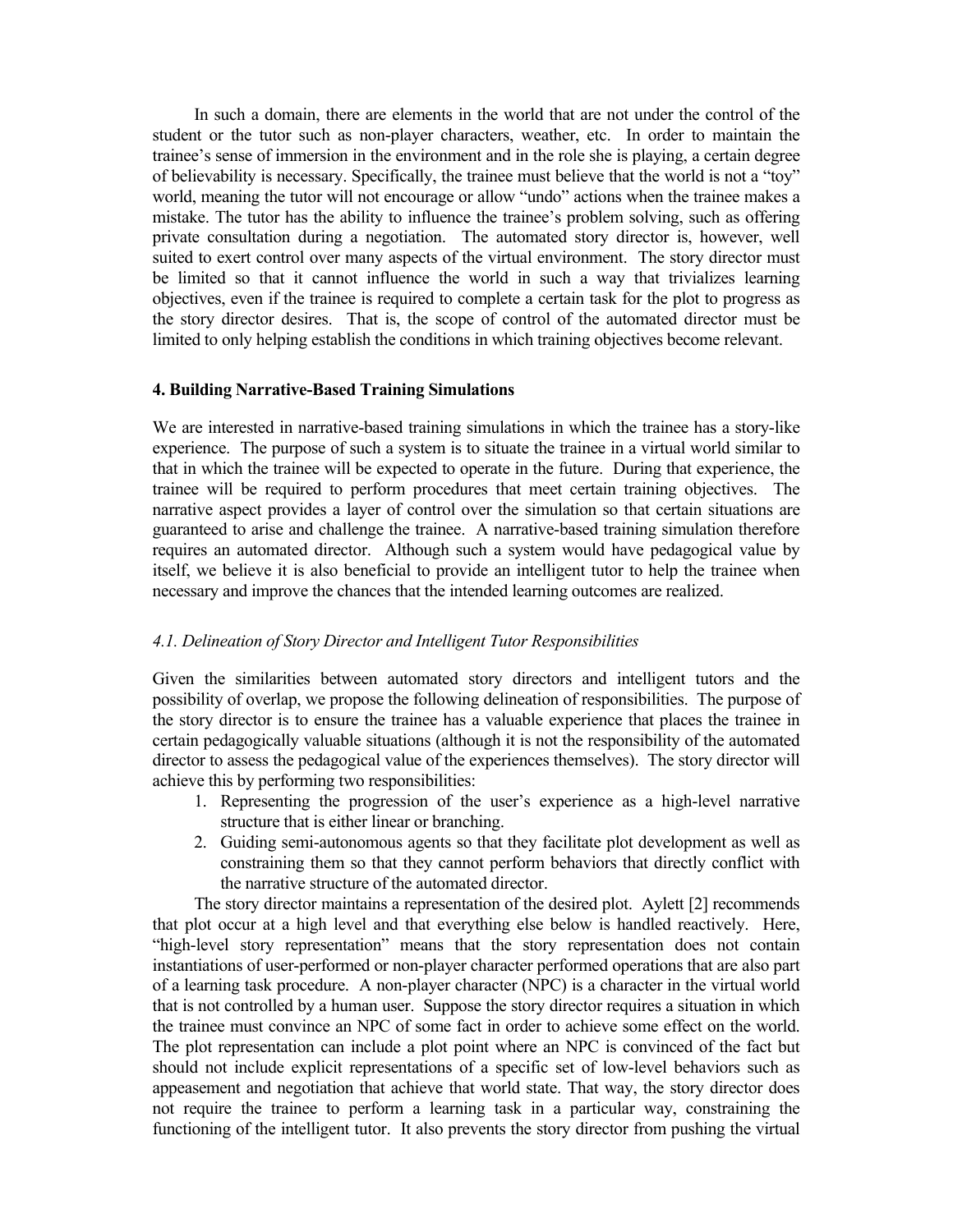In such a domain, there are elements in the world that are not under the control of the student or the tutor such as non-player characters, weather, etc. In order to maintain the trainee's sense of immersion in the environment and in the role she is playing, a certain degree of believability is necessary. Specifically, the trainee must believe that the world is not a "toy" world, meaning the tutor will not encourage or allow "undo" actions when the trainee makes a mistake. The tutor has the ability to influence the trainee's problem solving, such as offering private consultation during a negotiation. The automated story director is, however, well suited to exert control over many aspects of the virtual environment. The story director must be limited so that it cannot influence the world in such a way that trivializes learning objectives, even if the trainee is required to complete a certain task for the plot to progress as the story director desires. That is, the scope of control of the automated director must be limited to only helping establish the conditions in which training objectives become relevant.

## **4. Building Narrative-Based Training Simulations**

We are interested in narrative-based training simulations in which the trainee has a story-like experience. The purpose of such a system is to situate the trainee in a virtual world similar to that in which the trainee will be expected to operate in the future. During that experience, the trainee will be required to perform procedures that meet certain training objectives. The narrative aspect provides a layer of control over the simulation so that certain situations are guaranteed to arise and challenge the trainee. A narrative-based training simulation therefore requires an automated director. Although such a system would have pedagogical value by itself, we believe it is also beneficial to provide an intelligent tutor to help the trainee when necessary and improve the chances that the intended learning outcomes are realized.

## *4.1. Delineation of Story Director and Intelligent Tutor Responsibilities*

Given the similarities between automated story directors and intelligent tutors and the possibility of overlap, we propose the following delineation of responsibilities. The purpose of the story director is to ensure the trainee has a valuable experience that places the trainee in certain pedagogically valuable situations (although it is not the responsibility of the automated director to assess the pedagogical value of the experiences themselves). The story director will achieve this by performing two responsibilities:

- 1. Representing the progression of the user's experience as a high-level narrative structure that is either linear or branching.
- 2. Guiding semi-autonomous agents so that they facilitate plot development as well as constraining them so that they cannot perform behaviors that directly conflict with the narrative structure of the automated director.

 The story director maintains a representation of the desired plot. Aylett [2] recommends that plot occur at a high level and that everything else below is handled reactively. Here, "high-level story representation" means that the story representation does not contain instantiations of user-performed or non-player character performed operations that are also part of a learning task procedure. A non-player character (NPC) is a character in the virtual world that is not controlled by a human user. Suppose the story director requires a situation in which the trainee must convince an NPC of some fact in order to achieve some effect on the world. The plot representation can include a plot point where an NPC is convinced of the fact but should not include explicit representations of a specific set of low-level behaviors such as appeasement and negotiation that achieve that world state. That way, the story director does not require the trainee to perform a learning task in a particular way, constraining the functioning of the intelligent tutor. It also prevents the story director from pushing the virtual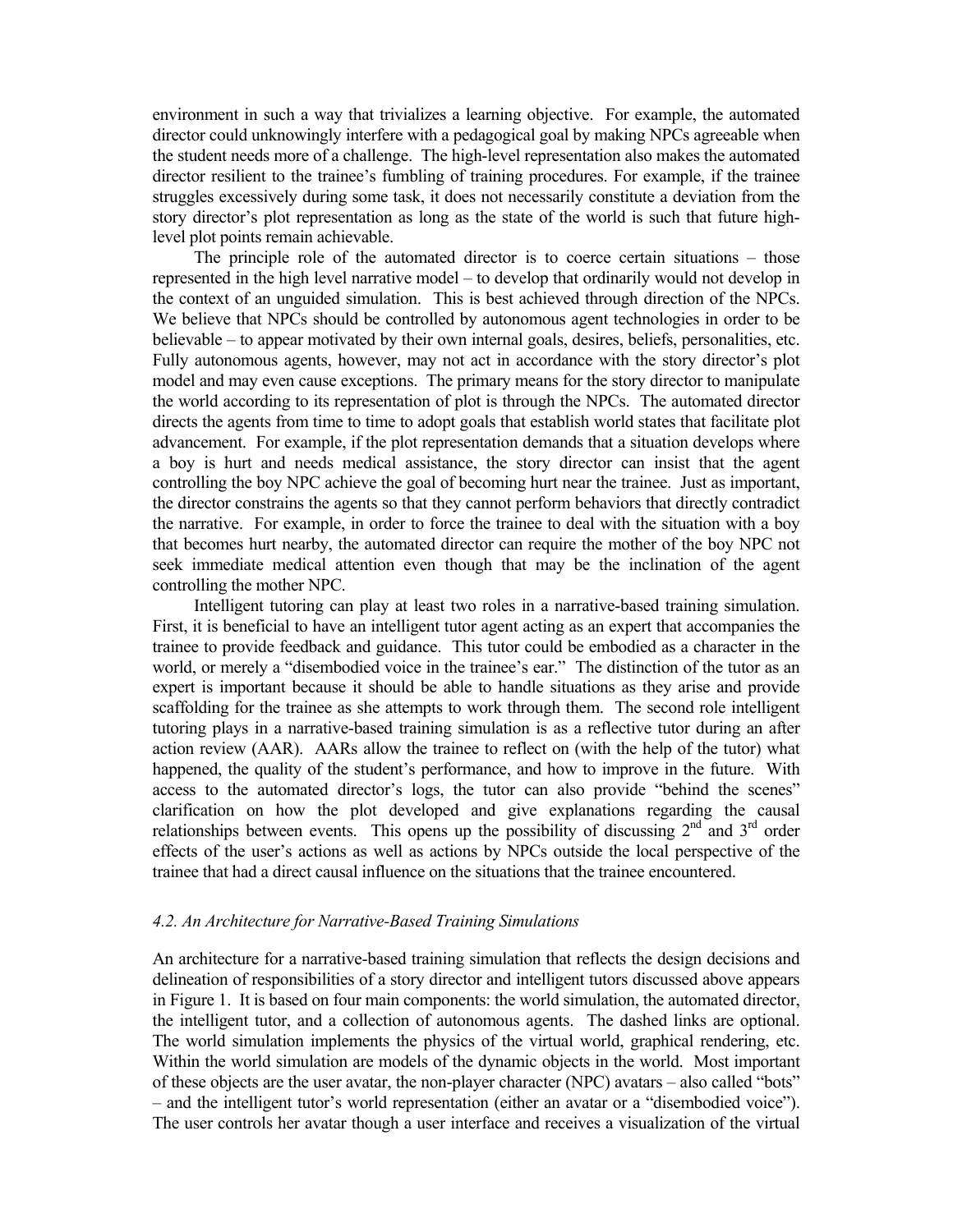environment in such a way that trivializes a learning objective. For example, the automated director could unknowingly interfere with a pedagogical goal by making NPCs agreeable when the student needs more of a challenge. The high-level representation also makes the automated director resilient to the trainee's fumbling of training procedures. For example, if the trainee struggles excessively during some task, it does not necessarily constitute a deviation from the story director's plot representation as long as the state of the world is such that future highlevel plot points remain achievable.

 The principle role of the automated director is to coerce certain situations – those represented in the high level narrative model – to develop that ordinarily would not develop in the context of an unguided simulation. This is best achieved through direction of the NPCs. We believe that NPCs should be controlled by autonomous agent technologies in order to be believable – to appear motivated by their own internal goals, desires, beliefs, personalities, etc. Fully autonomous agents, however, may not act in accordance with the story director's plot model and may even cause exceptions. The primary means for the story director to manipulate the world according to its representation of plot is through the NPCs. The automated director directs the agents from time to time to adopt goals that establish world states that facilitate plot advancement. For example, if the plot representation demands that a situation develops where a boy is hurt and needs medical assistance, the story director can insist that the agent controlling the boy NPC achieve the goal of becoming hurt near the trainee. Just as important, the director constrains the agents so that they cannot perform behaviors that directly contradict the narrative. For example, in order to force the trainee to deal with the situation with a boy that becomes hurt nearby, the automated director can require the mother of the boy NPC not seek immediate medical attention even though that may be the inclination of the agent controlling the mother NPC.

 Intelligent tutoring can play at least two roles in a narrative-based training simulation. First, it is beneficial to have an intelligent tutor agent acting as an expert that accompanies the trainee to provide feedback and guidance. This tutor could be embodied as a character in the world, or merely a "disembodied voice in the trainee's ear." The distinction of the tutor as an expert is important because it should be able to handle situations as they arise and provide scaffolding for the trainee as she attempts to work through them. The second role intelligent tutoring plays in a narrative-based training simulation is as a reflective tutor during an after action review (AAR). AARs allow the trainee to reflect on (with the help of the tutor) what happened, the quality of the student's performance, and how to improve in the future. With access to the automated director's logs, the tutor can also provide "behind the scenes" clarification on how the plot developed and give explanations regarding the causal relationships between events. This opens up the possibility of discussing  $2<sup>nd</sup>$  and  $3<sup>rd</sup>$  order effects of the user's actions as well as actions by NPCs outside the local perspective of the trainee that had a direct causal influence on the situations that the trainee encountered.

## *4.2. An Architecture for Narrative-Based Training Simulations*

An architecture for a narrative-based training simulation that reflects the design decisions and delineation of responsibilities of a story director and intelligent tutors discussed above appears in Figure 1. It is based on four main components: the world simulation, the automated director, the intelligent tutor, and a collection of autonomous agents. The dashed links are optional. The world simulation implements the physics of the virtual world, graphical rendering, etc. Within the world simulation are models of the dynamic objects in the world. Most important of these objects are the user avatar, the non-player character (NPC) avatars – also called "bots" – and the intelligent tutor's world representation (either an avatar or a "disembodied voice"). The user controls her avatar though a user interface and receives a visualization of the virtual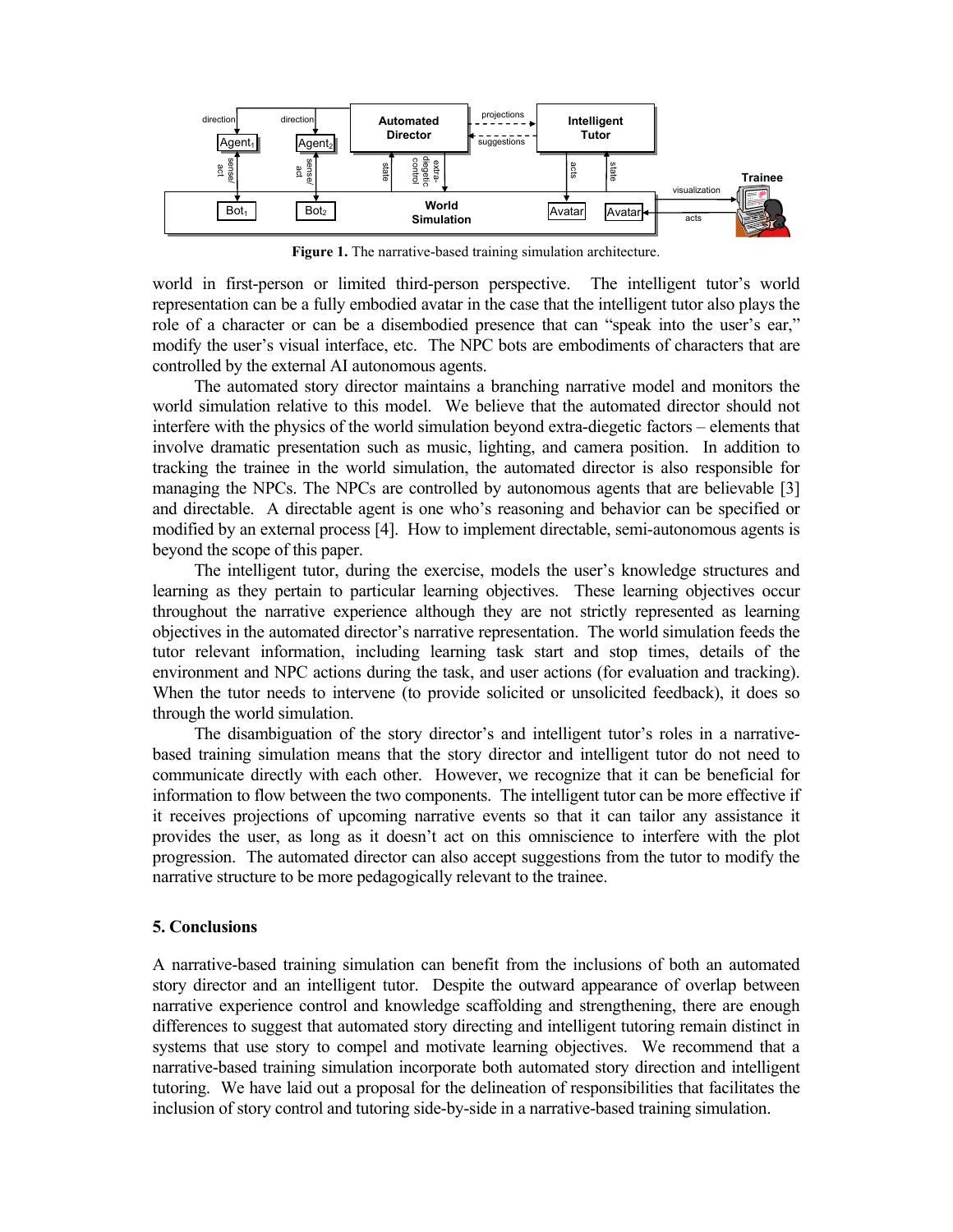

**Figure 1.** The narrative-based training simulation architecture.

world in first-person or limited third-person perspective. The intelligent tutor's world representation can be a fully embodied avatar in the case that the intelligent tutor also plays the role of a character or can be a disembodied presence that can "speak into the user's ear," modify the user's visual interface, etc. The NPC bots are embodiments of characters that are controlled by the external AI autonomous agents.

 The automated story director maintains a branching narrative model and monitors the world simulation relative to this model. We believe that the automated director should not interfere with the physics of the world simulation beyond extra-diegetic factors – elements that involve dramatic presentation such as music, lighting, and camera position. In addition to tracking the trainee in the world simulation, the automated director is also responsible for managing the NPCs. The NPCs are controlled by autonomous agents that are believable [3] and directable. A directable agent is one who's reasoning and behavior can be specified or modified by an external process [4]. How to implement directable, semi-autonomous agents is beyond the scope of this paper.

 The intelligent tutor, during the exercise, models the user's knowledge structures and learning as they pertain to particular learning objectives. These learning objectives occur throughout the narrative experience although they are not strictly represented as learning objectives in the automated director's narrative representation. The world simulation feeds the tutor relevant information, including learning task start and stop times, details of the environment and NPC actions during the task, and user actions (for evaluation and tracking). When the tutor needs to intervene (to provide solicited or unsolicited feedback), it does so through the world simulation.

 The disambiguation of the story director's and intelligent tutor's roles in a narrativebased training simulation means that the story director and intelligent tutor do not need to communicate directly with each other. However, we recognize that it can be beneficial for information to flow between the two components. The intelligent tutor can be more effective if it receives projections of upcoming narrative events so that it can tailor any assistance it provides the user, as long as it doesn't act on this omniscience to interfere with the plot progression. The automated director can also accept suggestions from the tutor to modify the narrative structure to be more pedagogically relevant to the trainee.

## **5. Conclusions**

A narrative-based training simulation can benefit from the inclusions of both an automated story director and an intelligent tutor. Despite the outward appearance of overlap between narrative experience control and knowledge scaffolding and strengthening, there are enough differences to suggest that automated story directing and intelligent tutoring remain distinct in systems that use story to compel and motivate learning objectives. We recommend that a narrative-based training simulation incorporate both automated story direction and intelligent tutoring. We have laid out a proposal for the delineation of responsibilities that facilitates the inclusion of story control and tutoring side-by-side in a narrative-based training simulation.